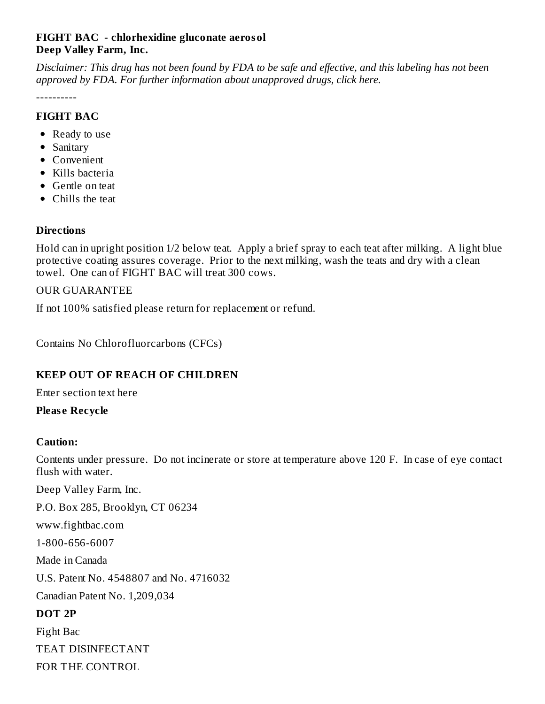# **FIGHT BAC - chlorhexidine gluconate aerosol Deep Valley Farm, Inc.**

Disclaimer: This drug has not been found by FDA to be safe and effective, and this labeling has not been *approved by FDA. For further information about unapproved drugs, click here.*

----------

# **FIGHT BAC**

- Ready to use
- Sanitary
- Convenient
- Kills bacteria
- Gentle on teat
- Chills the teat

# **Directions**

Hold can in upright position 1/2 below teat. Apply a brief spray to each teat after milking. A light blue protective coating assures coverage. Prior to the next milking, wash the teats and dry with a clean towel. One can of FIGHT BAC will treat 300 cows.

# OUR GUARANTEE

If not 100% satisfied please return for replacement or refund.

Contains No Chlorofluorcarbons (CFCs)

# **KEEP OUT OF REACH OF CHILDREN**

Enter section text here

# **Pleas e Recycle**

#### **Caution:**

Contents under pressure. Do not incinerate or store at temperature above 120 F. In case of eye contact flush with water.

Deep Valley Farm, Inc.

P.O. Box 285, Brooklyn, CT 06234

www.fightbac.com

1-800-656-6007

Made in Canada

U.S. Patent No. 4548807 and No. 4716032

Canadian Patent No. 1,209,034

#### **DOT 2P**

Fight Bac TEAT DISINFECTANT FOR THE CONTROL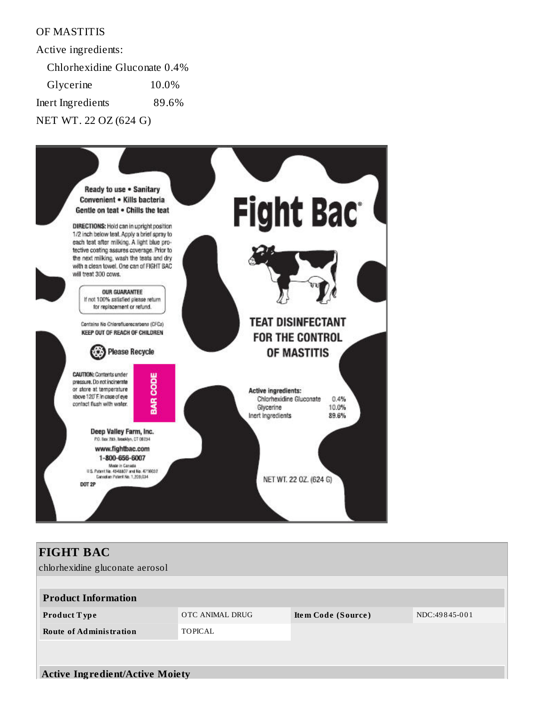# OF MASTITIS

Active ingredients:

Chlorhexidine Gluconate 0.4%

Glycerine 10.0% Inert Ingredients 89.6%

NET WT. 22 OZ (624 G)



| <b>FIGHT BAC</b>                       |                 |                    |               |  |  |  |  |
|----------------------------------------|-----------------|--------------------|---------------|--|--|--|--|
| chlorhexidine gluconate aerosol        |                 |                    |               |  |  |  |  |
|                                        |                 |                    |               |  |  |  |  |
| <b>Product Information</b>             |                 |                    |               |  |  |  |  |
| <b>Product Type</b>                    | OTC ANIMAL DRUG | Item Code (Source) | NDC:49845-001 |  |  |  |  |
| <b>Route of Administration</b>         | <b>TOPICAL</b>  |                    |               |  |  |  |  |
|                                        |                 |                    |               |  |  |  |  |
|                                        |                 |                    |               |  |  |  |  |
| <b>Active Ingredient/Active Moiety</b> |                 |                    |               |  |  |  |  |